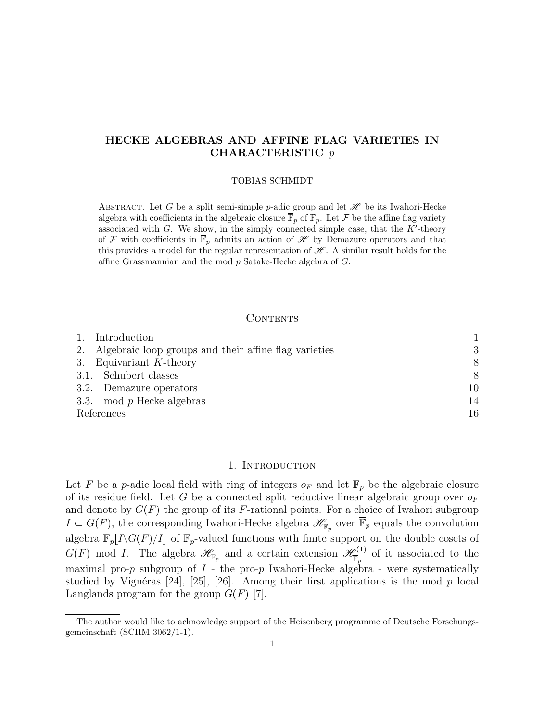# HECKE ALGEBRAS AND AFFINE FLAG VARIETIES IN CHARACTERISTIC p

#### TOBIAS SCHMIDT

ABSTRACT. Let G be a split semi-simple p-adic group and let  $\mathscr H$  be its Iwahori-Hecke algebra with coefficients in the algebraic closure  $\mathbb{F}_p$  of  $\mathbb{F}_p$ . Let F be the affine flag variety associated with G. We show, in the simply connected simple case, that the  $K'$ -theory of F with coefficients in  $\overline{\mathbb{F}}_p$  admits an action of H by Demazure operators and that this provides a model for the regular representation of  $\mathcal{H}$ . A similar result holds for the affine Grassmannian and the mod p Satake-Hecke algebra of G.

## CONTENTS

| 1. Introduction                                          |    |
|----------------------------------------------------------|----|
| 2. Algebraic loop groups and their affine flag varieties | 3  |
| 3. Equivariant $K$ -theory                               | 8  |
| 3.1. Schubert classes                                    | 8  |
| 3.2. Demazure operators                                  | 10 |
| 3.3. mod $p$ Hecke algebras                              | 14 |
| References                                               | 16 |

## 1. Introduction

Let F be a p-adic local field with ring of integers  $o_F$  and let  $\overline{\mathbb{F}}_p$  be the algebraic closure of its residue field. Let G be a connected split reductive linear algebraic group over  $o_F$ and denote by  $G(F)$  the group of its F-rational points. For a choice of Iwahori subgroup  $I \subset G(F)$ , the corresponding Iwahori-Hecke algebra  $\mathscr{H}_{\overline{\mathbb{F}}_p}$  over  $\overline{\mathbb{F}}_p$  equals the convolution algebra  $\overline{\mathbb{F}}_p[I\backslash G(F)/I]$  of  $\overline{\mathbb{F}}_p$ -valued functions with finite support on the double cosets of  $G(F) \mod I$ . The algebra  $\mathscr{H}_{\overline{\mathbb{F}}_p}$  and a certain extension  $\mathscr{H}_{\overline{\mathbb{F}}_p}^{(1)}$  $\frac{\varphi^{(1)}}{\mathbb{F}_p}$  of it associated to the maximal pro-p subgroup of  $I$  - the pro-p Iwahori-Hecke algebra - were systematically studied by Vignéras [24], [25], [26]. Among their first applications is the mod p local Langlands program for the group  $G(F)$  [7].

The author would like to acknowledge support of the Heisenberg programme of Deutsche Forschungsgemeinschaft (SCHM 3062/1-1).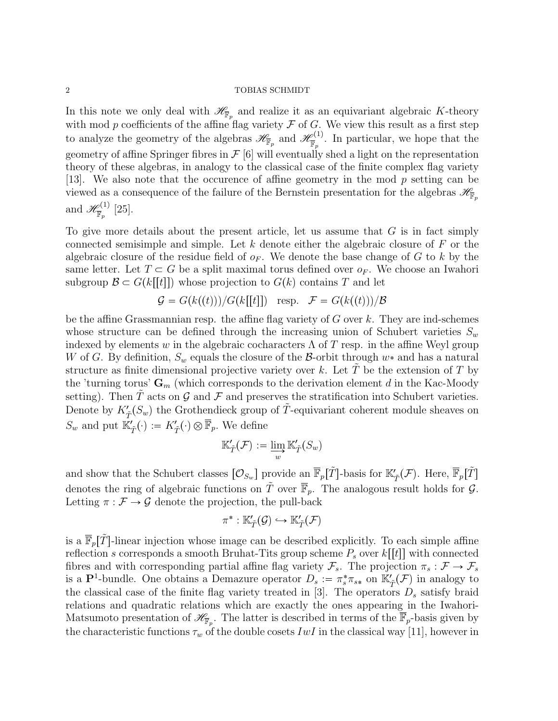## $\begin{tabular}{c} 2 \\ \hline \end{tabular} \begin{tabular}{c} \bf 2 \\ \bf 1 \\ \bf 2 \\ \end{tabular} \begin{tabular}{c} \bf 2 \\ \bf 3 \\ \bf 4 \\ \bf 5 \\ \bf 6 \\ \bf 7 \\ \bf 8 \\ \bf 9 \\ \bf 10 \\ \bf 11 \\ \bf 12 \\ \bf 13 \\ \bf 14 \\ \bf 15 \\ \bf 16 \\ \bf 17 \\ \bf 18 \\ \bf 19 \\ \bf 19 \\ \bf 10 \\ \bf 10 \\ \bf 11 \\ \bf 13 \\ \bf 18 \\ \bf 19 \\ \bf 19 \\ \bf 10 \\ \bf 13 \\ \bf$

In this note we only deal with  $\mathscr{H}_{\overline{\mathbb{F}}_p}$  and realize it as an equivariant algebraic K-theory with mod p coefficients of the affine flag variety  $\mathcal F$  of  $G$ . We view this result as a first step to analyze the geometry of the algebras  $\mathscr{H}_{\overline{\mathbb{F}}_p}$  and  $\mathscr{H}_{\overline{\mathbb{F}}_p}^{(1)}$  $\frac{\phi^{(1)}}{\mathbb{F}_p}$ . In particular, we hope that the geometry of affine Springer fibres in  $\mathcal{F}$  [6] will eventually shed a light on the representation theory of these algebras, in analogy to the classical case of the finite complex flag variety [13]. We also note that the occurence of affine geometry in the mod p setting can be viewed as a consequence of the failure of the Bernstein presentation for the algebras  $\mathscr{H}_{\mathbb{F}_p}$ and  $\mathscr{H}^{(1)}_{\overline{\mathbb{F}}}$  $\frac{\mathcal{O}(1)}{\mathbb{F}_p}$  [25].

To give more details about the present article, let us assume that  $G$  is in fact simply connected semisimple and simple. Let  $k$  denote either the algebraic closure of  $F$  or the algebraic closure of the residue field of  $o_F$ . We denote the base change of G to k by the same letter. Let  $T \subset G$  be a split maximal torus defined over  $o_F$ . We choose an Iwahori subgroup  $\mathcal{B} \subset G(k[[t]])$  whose projection to  $G(k)$  contains T and let

$$
\mathcal{G} = G(k((t)))/G(k[[t]]) \text{ resp. } \mathcal{F} = G(k((t)))/\mathcal{B}
$$

be the affine Grassmannian resp. the affine flag variety of  $G$  over  $k$ . They are ind-schemes whose structure can be defined through the increasing union of Schubert varieties  $S_w$ indexed by elements w in the algebraic cocharacters  $\Lambda$  of T resp. in the affine Weyl group W of G. By definition,  $S_w$  equals the closure of the B-orbit through  $w^*$  and has a natural structure as finite dimensional projective variety over k. Let  $\tilde{T}$  be the extension of  $T$  by the 'turning torus'  $\mathbf{G}_m$  (which corresponds to the derivation element d in the Kac-Moody setting). Then T acts on  $\mathcal G$  and  $\mathcal F$  and preserves the stratification into Schubert varieties. Denote by  $K'_{\tilde{T}}(S_w)$  the Grothendieck group of  $\tilde{T}$ -equivariant coherent module sheaves on  $S_w$  and put  $\mathbb{K}'_{\tilde{T}}(\cdot) := K'_{\tilde{T}}(\cdot) \otimes \overline{\mathbb{F}}_p$ . We define

$$
\mathbb{K}'_{\tilde{T}}(\mathcal{F}) := \varinjlim_{w} \mathbb{K}'_{\tilde{T}}(S_w)
$$

and show that the Schubert classes  $[\mathcal{O}_{S_w}]$  provide an  $\overline{\mathbb{F}}_p[\tilde{T}]$ -basis for  $\mathbb{K}'_{\tilde{T}}(\mathcal{F})$ . Here,  $\overline{\mathbb{F}}_p[\tilde{T}]$ denotes the ring of algebraic functions on  $\tilde{T}$  over  $\overline{\mathbb{F}}_p$ . The analogous result holds for  $\mathcal{G}$ . Letting  $\pi : \mathcal{F} \to \mathcal{G}$  denote the projection, the pull-back<br> $\pi^* : \mathbb{K}'_{\tilde{\mathcal{T}}}(\mathcal{G}) \hookrightarrow \mathbb{K}'_{\tilde{\mathcal{T}}}(\mathcal{F})$ 

$$
\pi^*:\mathbb{K}'_{\tilde{T}}(\mathcal{G})\hookrightarrow \mathbb{K}'_{\tilde{T}}(\mathcal{F})
$$

is a  $\overline{\mathbb{F}}_p[\tilde{T}]$ -linear injection whose image can be described explicitly. To each simple affine reflection s corresponds a smooth Bruhat-Tits group scheme  $P_s$  over  $k[[t]]$  with connected fibres and with corresponding partial affine flag variety  $\mathcal{F}_s$ . The projection  $\pi_s : \mathcal{F} \to \mathcal{F}_s$ is a P<sup>1</sup>-bundle. One obtains a Demazure operator  $D_s := \pi_s^* \pi_{s*}$  on  $\mathbb{K}'_{\tilde{T}}(\mathcal{F})$  in analogy to the classical case of the finite flag variety treated in [3]. The operators  $D_s$  satisfy braid relations and quadratic relations which are exactly the ones appearing in the Iwahori-Matsumoto presentation of  $\mathscr{H}_{\overline{\mathbb{F}}_p}$ . The latter is described in terms of the  $\overline{\mathbb{F}}_p$ -basis given by the characteristic functions  $\tau_w$  of the double cosets IwI in the classical way [11], however in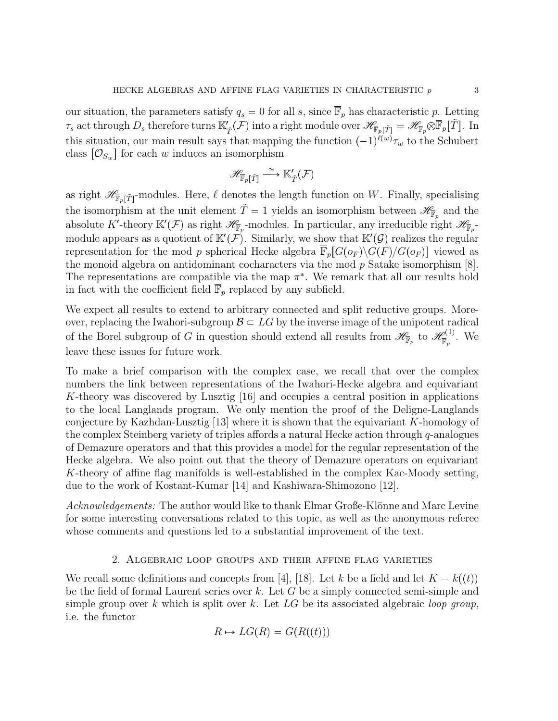our situation, the parameters satisfy  $q_s = 0$  for all s, since  $\overline{\mathbb{F}}_p$  has characteristic p. Letting  $\tau_s$  act through  $D_s$  therefore turns  $\mathbb{K}'_{\tilde{T}}(\mathcal{F})$  into a right module over  $\mathscr{H}_{\overline{\mathbb{F}}_p[\tilde{T}]} = \mathscr{H}_{\overline{\mathbb{F}}_p} \otimes \overline{\mathbb{F}}_p[\tilde{T}].$  In this situation, our main result says that mapping the function  $(-1)^{\ell(w)}\tau_w$  to the Schubert class  $[O_{S_w}]$  for each w induces an isomorphism

$$
\mathscr{H}_{\overline{\mathbb{F}}_p[\tilde{T}]} \stackrel{\simeq}{\longrightarrow} \mathbb{K}'_{\tilde{T}}(\mathcal{F})
$$

as right  $\mathscr{H}_{\overline{\mathbb{F}}_p[\tilde{T}]}$ -modules. Here,  $\ell$  denotes the length function on W. Finally, specialising the isomorphism at the unit element  $\tilde{T} = 1$  yields an isomorphism between  $\mathscr{H}_{\mathbb{F}_p}$  and the absolute K'-theory  $\mathbb{K}'(\mathcal{F})$  as right  $\mathscr{H}_{\overline{\mathbb{F}}_p}$ -modules. In particular, any irreducible right  $\mathscr{H}_{\overline{\mathbb{F}}_p}$ module appears as a quotient of  $\mathbb{K}'(\mathcal{F})$ . Similarly, we show that  $\mathbb{K}'(\mathcal{G})$  realizes the regular representation for the mod p spherical Hecke algebra  $\mathbb{F}_p[G(o_F) \backslash G(F)/G(o_F)]$  viewed as the monoid algebra on antidominant cocharacters via the mod p Satake isomorphism [8]. The representations are compatible via the map  $\pi^*$ . We remark that all our results hold in fact with the coefficient field  $\overline{\mathbb{F}}_p$  replaced by any subfield.

We expect all results to extend to arbitrary connected and split reductive groups. Moreover, replacing the Iwahori-subgroup  $\mathcal{B} \subset LG$  by the inverse image of the unipotent radical of the Borel subgroup of G in question should extend all results from  $\mathscr{H}_{\overline{\mathbb{F}}_p}$  to  $\mathscr{H}_{\overline{\mathbb{F}}_p}^{(1)}$  $\frac{\mathcal{O}(1)}{\overline{\mathbb{F}}_p}$ . We leave these issues for future work.

To make a brief comparison with the complex case, we recall that over the complex numbers the link between representations of the Iwahori-Hecke algebra and equivariant K-theory was discovered by Lusztig [16] and occupies a central position in applications to the local Langlands program. We only mention the proof of the Deligne-Langlands conjecture by Kazhdan-Lusztig [13] where it is shown that the equivariant K-homology of the complex Steinberg variety of triples affords a natural Hecke action through q-analogues of Demazure operators and that this provides a model for the regular representation of the Hecke algebra. We also point out that the theory of Demazure operators on equivariant K-theory of affine flag manifolds is well-established in the complex Kac-Moody setting, due to the work of Kostant-Kumar [14] and Kashiwara-Shimozono [12].

Acknowledgements: The author would like to thank Elmar Große-Klönne and Marc Levine for some interesting conversations related to this topic, as well as the anonymous referee whose comments and questions led to a substantial improvement of the text.

## 2. Algebraic loop groups and their affine flag varieties

We recall some definitions and concepts from [4], [18]. Let k be a field and let  $K = k(t)$ be the field of formal Laurent series over  $k$ . Let  $G$  be a simply connected semi-simple and simple group over k which is split over k. Let  $LG$  be its associated algebraic loop group, i.e. the functor

$$
R \mapsto LG(R) = G(R((t)))
$$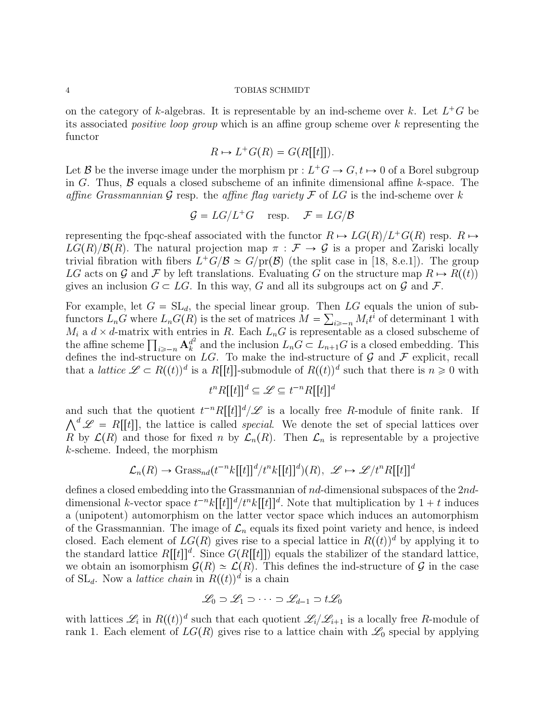on the category of k-algebras. It is representable by an ind-scheme over k. Let  $L^+G$  be its associated positive loop group which is an affine group scheme over k representing the functor

$$
R \mapsto L^+G(R) = G(R[[t]]).
$$

Let B be the inverse image under the morphism  $pr: L^+G \to G$ ,  $t \mapsto 0$  of a Borel subgroup in G. Thus,  $\beta$  equals a closed subscheme of an infinite dimensional affine k-space. The affine Grassmannian G resp. the affine flag variety F of LG is the ind-scheme over k

$$
\mathcal{G}=LG/L^+G\quad\text{ resp. }\quad \mathcal{F}=LG/\mathcal{B}
$$

representing the fpqc-sheaf associated with the functor  $R \mapsto LG(R)/L^+G(R)$  resp.  $R \mapsto$  $LG(R)/\mathcal{B}(R)$ . The natural projection map  $\pi : \mathcal{F} \to \mathcal{G}$  is a proper and Zariski locally trivial fibration with fibers  $L^+G/\mathcal{B} \simeq G/\text{pr}(\mathcal{B})$  (the split case in [18, 8.e.1]). The group LG acts on G and F by left translations. Evaluating G on the structure map  $R \mapsto R(\mathfrak{p}(t))$ gives an inclusion  $G \subset LG$ . In this way, G and all its subgroups act on G and F.

For example, let  $G = SL_d$ , the special linear group. Then LG equals the union of subfunctors  $L_n G$  where  $L_n G(R)$  is the set of matrices  $M = \sum_{i \geq -n} M_i t^i$  of determinant 1 with  $M_i$  a  $d \times d$ -matrix with entries in R. Each  $L_nG$  is representable as a closed subscheme of the affine scheme  $\prod_{i \geqslant -n} {\bf A}^{d^2}_k$  $\frac{d^2}{k}$  and the inclusion  $L_n G \subset L_{n+1} G$  is a closed embedding. This defines the ind-structure on LG. To make the ind-structure of  $\mathcal G$  and  $\mathcal F$  explicit, recall that a *lattice*  $\mathscr{L} \subset R((t))^d$  is a  $R[[t]]$ -submodule of  $R((t))^d$  such that there is  $n \geq 0$  with

$$
t^n R[[t]]^d \subseteq \mathscr{L} \subseteq t^{-n} R[[t]]^d
$$

and such that the quotient  $t^{-n}R[[t]]^d/\mathscr{L}$  is a locally free R-module of finite rank. If  $\bigwedge^d \mathscr{L} = R[[t]]$ , the lattice is called *special*. We denote the set of special lattices over R by  $\mathcal{L}(R)$  and those for fixed n by  $\mathcal{L}_n(R)$ . Then  $\mathcal{L}_n$  is representable by a projective k-scheme. Indeed, the morphism

$$
\mathcal{L}_n(R) \to \text{Grass}_{nd}(t^{-n}k[[t]]^d/t^n k[[t]]^d)(R), \ \mathscr{L} \mapsto \mathscr{L}/t^n R[[t]]^d
$$

defines a closed embedding into the Grassmannian of nd-dimensional subspaces of the 2nddimensional k-vector space  $t^{-n}k[[t]]^d/t^nk[[t]]^d$ . Note that multiplication by  $1 + t$  induces a (unipotent) automorphism on the latter vector space which induces an automorphism of the Grassmannian. The image of  $\mathcal{L}_n$  equals its fixed point variety and hence, is indeed closed. Each element of  $LG(R)$  gives rise to a special lattice in  $R((t))^d$  by applying it to the standard lattice  $R[[t]]^d$ . Since  $G(R[[t]])$  equals the stabilizer of the standard lattice, we obtain an isomorphism  $\mathcal{G}(R) \simeq \mathcal{L}(R)$ . This defines the ind-structure of G in the case of  $SL_d$ . Now a *lattice chain* in  $R((t))^d$  is a chain

$$
\mathscr{L}_0 \supset \mathscr{L}_1 \supset \cdots \supset \mathscr{L}_{d-1} \supset t\mathscr{L}_0
$$

with lattices  $\mathscr{L}_i$  in  $R((t))^d$  such that each quotient  $\mathscr{L}_i/\mathscr{L}_{i+1}$  is a locally free R-module of rank 1. Each element of  $LG(R)$  gives rise to a lattice chain with  $\mathscr{L}_0$  special by applying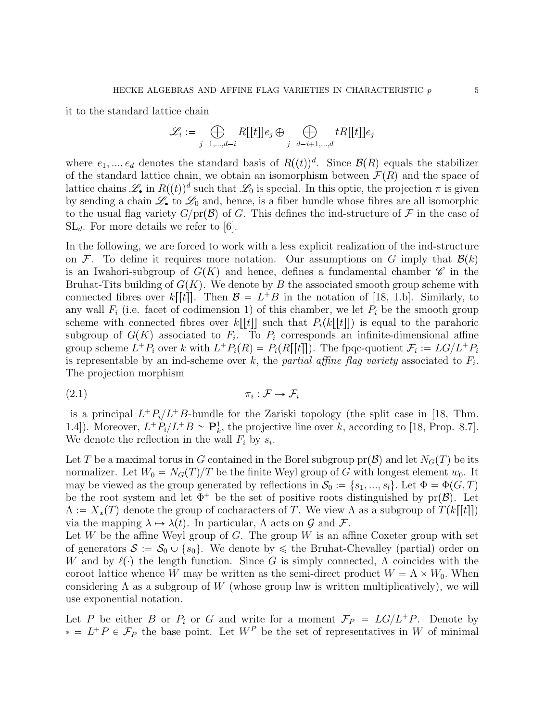it to the standard lattice chain

$$
\mathcal{L}_i := \bigoplus_{j=1,\dots,d-i} R[[t]]e_j \oplus \bigoplus_{j=d-i+1,\dots,d} tR[[t]]e_j
$$

where  $e_1, ..., e_d$  denotes the standard basis of  $R((t))^d$ . Since  $\mathcal{B}(R)$  equals the stabilizer of the standard lattice chain, we obtain an isomorphism between  $\mathcal{F}(R)$  and the space of lattice chains  $\mathscr{L}_{\bullet}$  in  $R((t))^d$  such that  $\mathscr{L}_0$  is special. In this optic, the projection  $\pi$  is given by sending a chain  $\mathscr{L}_{\bullet}$  to  $\mathscr{L}_{0}$  and, hence, is a fiber bundle whose fibres are all isomorphic to the usual flag variety  $G/\text{pr}(\mathcal{B})$  of G. This defines the ind-structure of F in the case of  $SL_d$ . For more details we refer to [6].

In the following, we are forced to work with a less explicit realization of the ind-structure on F. To define it requires more notation. Our assumptions on G imply that  $\mathcal{B}(k)$ is an Iwahori-subgroup of  $G(K)$  and hence, defines a fundamental chamber  $\mathscr C$  in the Bruhat-Tits building of  $G(K)$ . We denote by B the associated smooth group scheme with connected fibres over  $k[[t]]$ . Then  $\mathcal{B} = L^+B$  in the notation of [18, 1.b]. Similarly, to any wall  $F_i$  (i.e. facet of codimension 1) of this chamber, we let  $P_i$  be the smooth group scheme with connected fibres over  $k[[t]]$  such that  $P_i(k[[t]])$  is equal to the parahoric subgroup of  $G(K)$  associated to  $F_i$ . To  $P_i$  corresponds an infinite-dimensional affine group scheme  $L^+P_i$  over k with  $L^+P_i(R) = P_i(R[[t]])$ . The fpqc-quotient  $\mathcal{F}_i := LG/L^+P_i$ is representable by an ind-scheme over k, the partial affine flag variety associated to  $F_i$ . The projection morphism

$$
(2.1) \t\t \pi_i : \mathcal{F} \to \mathcal{F}_i
$$

is a principal  $L^+P_i/L^+B$ -bundle for the Zariski topology (the split case in [18, Thm. 1.4]). Moreover,  $L^+P_i/L^+B \simeq \mathbf{P}_k^1$ , the projective line over k, according to [18, Prop. 8.7]. We denote the reflection in the wall  $F_i$  by  $s_i$ .

Let T be a maximal torus in G contained in the Borel subgroup  $pr(\mathcal{B})$  and let  $N_G(T)$  be its normalizer. Let  $W_0 = N_G(T)/T$  be the finite Weyl group of G with longest element  $w_0$ . It may be viewed as the group generated by reflections in  $\mathcal{S}_0 := \{s_1, ..., s_l\}$ . Let  $\Phi = \Phi(G, T)$ be the root system and let  $\Phi^+$  be the set of positive roots distinguished by pr $(\mathcal{B})$ . Let  $\Lambda := X_*(T)$  denote the group of cocharacters of T. We view  $\Lambda$  as a subgroup of  $T(k[[t]])$ via the mapping  $\lambda \mapsto \lambda(t)$ . In particular,  $\Lambda$  acts on  $\mathcal G$  and  $\mathcal F$ .

Let W be the affine Weyl group of G. The group W is an affine Coxeter group with set of generators  $S := S_0 \cup \{s_0\}$ . We denote by  $\leq$  the Bruhat-Chevalley (partial) order on W and by  $\ell(\cdot)$  the length function. Since G is simply connected,  $\Lambda$  coincides with the coroot lattice whence W may be written as the semi-direct product  $W = \Lambda \rtimes W_0$ . When considering  $\Lambda$  as a subgroup of W (whose group law is written multiplicatively), we will use exponential notation.

Let P be either B or  $P_i$  or G and write for a moment  $\mathcal{F}_P = LG/L^+P$ . Denote by  $\mathcal{L}^+ = L^+ P \in \mathcal{F}_P$  the base point. Let  $W^P$  be the set of representatives in W of minimal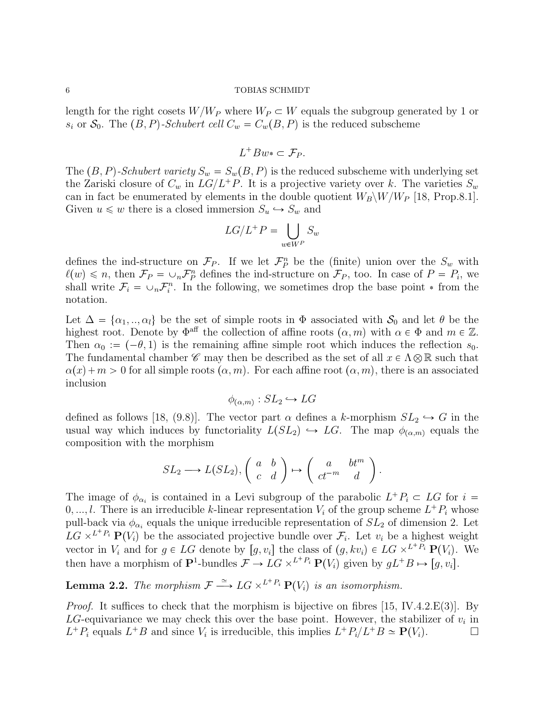length for the right cosets  $W/W_P$  where  $W_P \subset W$  equals the subgroup generated by 1 or  $s_i$  or  $\mathcal{S}_0$ . The  $(B, P)$ -Schubert cell  $C_w = C_w(B, P)$  is the reduced subscheme

$$
L^+Bw^*\subset \mathcal{F}_P.
$$

The  $(B, P)$ -Schubert variety  $S_w = S_w(B, P)$  is the reduced subscheme with underlying set the Zariski closure of  $C_w$  in  $LG/L^+P$ . It is a projective variety over k. The varieties  $S_w$ can in fact be enumerated by elements in the double quotient  $W_B\backslash W/W_P$  [18, Prop.8.1]. Given  $u \leq w$  there is a closed immersion  $S_u \hookrightarrow S_w$  and

$$
LG/L^+P = \bigcup_{w \in W^P} S_w
$$

defines the ind-structure on  $\mathcal{F}_P$ . If we let  $\mathcal{F}_P^n$  be the (finite) union over the  $S_w$  with  $\ell(w) \leq n$ , then  $\mathcal{F}_P = \cup_n \mathcal{F}_P^n$  defines the ind-structure on  $\mathcal{F}_P$ , too. In case of  $P = P_i$ , we shall write  $\mathcal{F}_i = \cup_n \mathcal{F}_i^n$ . In the following, we sometimes drop the base point  $*$  from the notation.

Let  $\Delta = {\alpha_1, ..., \alpha_l}$  be the set of simple roots in  $\Phi$  associated with  $S_0$  and let  $\theta$  be the highest root. Denote by  $\Phi^{\text{aff}}$  the collection of affine roots  $(\alpha, m)$  with  $\alpha \in \Phi$  and  $m \in \mathbb{Z}$ . Then  $\alpha_0 := (-\theta, 1)$  is the remaining affine simple root which induces the reflection  $s_0$ . The fundamental chamber  $\mathscr C$  may then be described as the set of all  $x \in \Lambda \otimes \mathbb{R}$  such that  $\alpha(x) + m > 0$  for all simple roots  $(\alpha, m)$ . For each affine root  $(\alpha, m)$ , there is an associated inclusion

$$
\phi_{(\alpha,m)} : SL_2 \hookrightarrow LG
$$

 $\varphi_{(\alpha,m)} : SL_2 \hookrightarrow LG$ <br>defined as follows [18, (9.8)]. The vector part  $\alpha$  defines a k-morphism  $SL_2 \hookrightarrow G$  in the defined as follows [18, (9.8)]. The vector part  $\alpha$  defines a k-morphism  $SL_2 \hookrightarrow G$  in the usual way which induces by functoriality  $L(SL_2) \hookrightarrow LG$ . The map  $\phi_{(\alpha,m)}$  equals the composition with the morphism

$$
SL_2 \longrightarrow L(SL_2), \begin{pmatrix} a & b \\ c & d \end{pmatrix} \mapsto \begin{pmatrix} a & bt^m \\ ct^{-m} & d \end{pmatrix}.
$$

The image of  $\phi_{\alpha_i}$  is contained in a Levi subgroup of the parabolic  $L^+P_i \subset LG$  for  $i =$  $0, \ldots, l$ . There is an irreducible k-linear representation  $V_i$  of the group scheme  $L^+P_i$  whose pull-back via  $\phi_{\alpha_i}$  equals the unique irreducible representation of  $SL_2$  of dimension 2. Let  $LG \times^{L^+P_i} \mathbf{P}(V_i)$  be the associated projective bundle over  $\mathcal{F}_i$ . Let  $v_i$  be a highest weight vector in  $V_i$  and for  $g \in LG$  denote by  $[g, v_i]$  the class of  $(g, kv_i) \in LG \times^{L^+P_i} \mathbf{P}(V_i)$ . We then have a morphism of  $\mathbf{P}^1$ -bundles  $\mathcal{F} \to LG \times^{L^+P_i} \mathbf{P}(V_i)$  given by  $gL^+B \mapsto [g, v_i]$ .

**Lemma 2.2.** The morphism  $\mathcal{F} \stackrel{\simeq}{\longrightarrow} LG \times^{L^+P_i} \mathbf{P}(V_i)$  is an isomorphism.

*Proof.* It suffices to check that the morphism is bijective on fibres [15, IV.4.2. $E(3)$ ]. By LG-equivariance we may check this over the base point. However, the stabilizer of  $v_i$  in  $L^+P_i$  equals  $L^+B$  and since  $V_i$  is irreducible, this implies  $L^+P_i/L^+B \simeq \mathbf{P}(V_i)$ .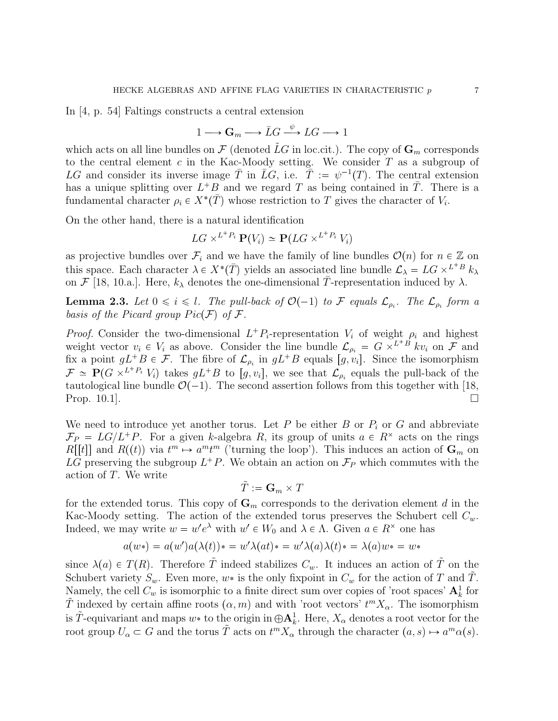In [4, p. 54] Faltings constructs a central extension

$$
1 \longrightarrow \mathbf{G}_m \longrightarrow \bar{L}G \xrightarrow{\psi} LG \longrightarrow 1
$$

which acts on all line bundles on  $\mathcal F$  (denoted LG in loc.cit.). The copy of  $\mathbf G_m$  corresponds to the central element  $c$  in the Kac-Moody setting. We consider  $T$  as a subgroup of LG and consider its inverse image  $\overline{T}$  in  $\overline{L}G$ , i.e.  $\overline{T} := \psi^{-1}(T)$ . The central extension has a unique splitting over  $L^+B$  and we regard T as being contained in  $\overline{T}$ . There is a fundamental character  $\rho_i \in X^*(\bar{T})$  whose restriction to T gives the character of  $V_i$ .

On the other hand, there is a natural identification

$$
LG \times^{L^+P_i} \mathbf{P}(V_i) \simeq \mathbf{P}(LG \times^{L^+P_i} V_i)
$$

as projective bundles over  $\mathcal{F}_i$  and we have the family of line bundles  $\mathcal{O}(n)$  for  $n \in \mathbb{Z}$  on this space. Each character  $\lambda \in X^*(\bar{T})$  yields an associated line bundle  $\mathcal{L}_{\lambda} = LG \times^{L+B} k_{\lambda}$ on  $\mathcal{F}$  [18, 10.a.]. Here,  $k_{\lambda}$  denotes the one-dimensional  $\overline{T}$ -representation induced by  $\lambda$ .

**Lemma 2.3.** Let  $0 \leq i \leq l$ . The pull-back of  $\mathcal{O}(-1)$  to F equals  $\mathcal{L}_{\rho_i}$ . The  $\mathcal{L}_{\rho_i}$  form a basis of the Picard group  $Pic(\mathcal{F})$  of  $\mathcal{F}$ .

*Proof.* Consider the two-dimensional  $L^+P_i$ -representation  $V_i$  of weight  $\rho_i$  and highest weight vector  $v_i \in V_i$  as above. Consider the line bundle  $\mathcal{L}_{\rho_i} = G \times^{L+B} k v_i$  on  $\mathcal{F}$  and fix a point  $gL+B \in \mathcal{F}$ . The fibre of  $\mathcal{L}_{\rho_i}$  in  $gL+B$  equals  $[g, v_i]$ . Since the isomorphism  $\mathcal{F} \simeq \mathbf{P}(G \times^{L^+P_i} V_i)$  takes  $gL^+B$  to  $[g, v_i]$ , we see that  $\mathcal{L}_{\rho_i}$  equals the pull-back of the tautological line bundle  $\mathcal{O}(-1)$ . The second assertion follows from this together with [18, Prop.  $10.1$ ].

We need to introduce yet another torus. Let  $P$  be either  $B$  or  $P_i$  or  $G$  and abbreviate  $\mathcal{F}_P = LG/L^+P$ . For a given k-algebra R, its group of units  $a \in R^{\times}$  acts on the rings  $R[[t]]$  and  $R((t))$  via  $t^m \mapsto a^m t^m$  ('turning the loop'). This induces an action of  $\mathbf{G}_m$  on LG preserving the subgroup  $L^+P$ . We obtain an action on  $\mathcal{F}_P$  which commutes with the action of T. We write

$$
\tilde{T}:=\mathbf{G}_m\times T
$$

for the extended torus. This copy of  $\mathbf{G}_m$  corresponds to the derivation element d in the Kac-Moody setting. The action of the extended torus preserves the Schubert cell  $C_w$ . Indeed, we may write  $w = w'e^{\lambda}$  with  $w' \in W_0$  and  $\lambda \in \Lambda$ . Given  $a \in R^{\times}$  one has

$$
a(w*) = a(w')a(\lambda(t))* = w'\lambda(at)* = w'\lambda(a)\lambda(t)* = \lambda(a)w* = w*
$$

since  $\lambda(a) \in T(R)$ . Therefore  $\tilde{T}$  indeed stabilizes  $C_w$ . It induces an action of  $\tilde{T}$  on the Schubert variety  $S_w$ . Even more,  $w^*$  is the only fixpoint in  $C_w$  for the action of T and  $\tilde{T}$ . Namely, the cell  $C_w$  is isomorphic to a finite direct sum over copies of 'root spaces'  $\mathbf{A}_k^1$  for  $\tilde{T}$  indexed by certain affine roots  $(\alpha, m)$  and with 'root vectors'  $t^m X_\alpha$ . The isomorphism is  $\tilde{T}$ -equivariant and maps  $w*$  to the origin in  $\oplus \mathbf{A}^1_k$ . Here,  $X_\alpha$  denotes a root vector for the root group  $U_{\alpha} \subset G$  and the torus  $\tilde{T}$  acts on  $t^m X_{\alpha}$  through the character  $(a, s) \mapsto a^m \alpha(s)$ .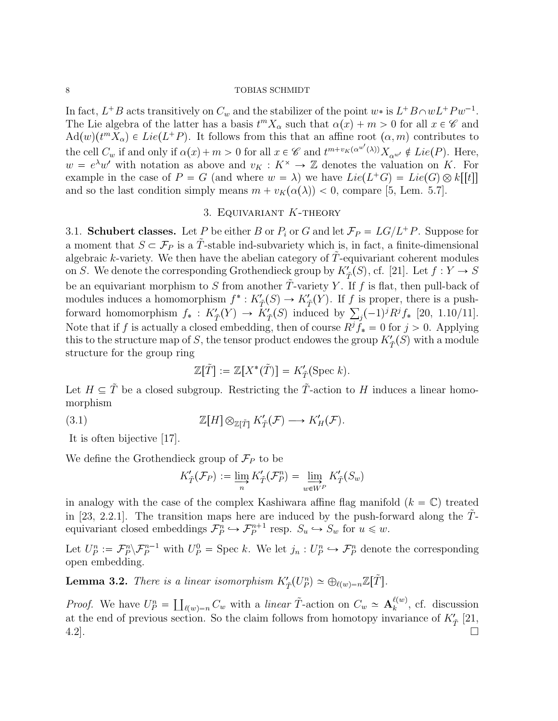In fact,  $L^+B$  acts transitively on  $C_w$  and the stabilizer of the point  $w^*$  is  $L^+B \cap wL^+Pw^{-1}$ . The Lie algebra of the latter has a basis  $t^m X_\alpha$  such that  $\alpha(x) + m > 0$  for all  $x \in \mathscr{C}$  and  $\text{Ad}(w)(t^m X_\alpha) \in Lie(L^+ P)$ . It follows from this that an affine root  $(\alpha, m)$  contributes to the cell  $C_w$  if and only if  $\alpha(x) + m > 0$  for all  $x \in \mathscr{C}$  and  $t^{m+v_K(\alpha^{w'}(\lambda))} X_{\alpha^{w'}} \notin Lie(P)$ . Here,  $w = e^{\lambda}w'$  with notation as above and  $v_K : K^* \to \mathbb{Z}$  denotes the valuation on K. For example in the case of  $P = G$  (and where  $w = \lambda$ ) we have  $Lie(L^+G) = Lie(G) \otimes k[[t]]$ and so the last condition simply means  $m + v_K(\alpha(\lambda)) < 0$ , compare [5, Lem. 5.7].

# 3. Equivariant K-theory

3.1. Schubert classes. Let P be either B or  $P_i$  or G and let  $\mathcal{F}_P = LG/L^+P$ . Suppose for a moment that  $S \subset \mathcal{F}_P$  is a T-stable ind-subvariety which is, in fact, a finite-dimensional algebraic  $k$ -variety. We then have the abelian category of  $T$ -equivariant coherent modules on S. We denote the corresponding Grothendieck group by  $K^{\prime}_{\tilde{T}}(S)$ , cf. [21]. Let  $f : Y \to S$ be an equivariant morphism to S from another  $\tilde{T}$ -variety Y. If f is flat, then pull-back of modules induces a homomorphism  $f^*: K'_{\tilde{T}}(S) \to K'_{\tilde{T}}(Y)$ . If f is proper, there is a pushforward homomorphism  $f_* : K'_{\tilde{T}}(Y) \to K'_{\tilde{T}}(S)$  induced by  $\sum_j (-1)^j R^j f_*$  [20, 1.10/11]. Note that if f is actually a closed embedding, then of course  $R^j \tilde{f}_* = 0$  for  $j > 0$ . Applying this to the structure map of S, the tensor product endowes the group  $K'_{\tilde{T}}(S)$  with a module structure for the group ring

$$
\mathbb{Z}[\tilde{T}] := \mathbb{Z}[X^*(\tilde{T})] = K'_{\tilde{T}}(\text{Spec } k).
$$

Let  $H \subseteq \tilde{T}$  be a closed subgroup. Restricting the  $\tilde{T}$ -action to H induces a linear homomorphism

(3.1) 
$$
\mathbb{Z}[H] \otimes_{\mathbb{Z}[\tilde{T}]} K'_{\tilde{T}}(\mathcal{F}) \longrightarrow K'_{H}(\mathcal{F}).
$$

It is often bijective [17].

We define the Grothendieck group of  $\mathcal{F}_P$  to be

$$
K'_{\tilde{T}}(\mathcal{F}_P) := \varinjlim_{n} K'_{\tilde{T}}(\mathcal{F}_P^n) = \varinjlim_{w \in W^P} K'_{\tilde{T}}(S_w)
$$

in analogy with the case of the complex Kashiwara affine flag manifold  $(k = \mathbb{C})$  treated in [23, 2.2.1]. The transition maps here are induced by the push-forward along the  $\tilde{T}$ in [23, 2.2.1]. The transition maps here are induced by the push-for<br>equivariant closed embeddings  $\mathcal{F}_P^n \hookrightarrow \mathcal{F}_P^{n+1}$  resp.  $S_u \hookrightarrow S_w$  for  $u \leq w$ .

Let  $U_P^n := \mathcal{F}_P^n \setminus \mathcal{F}_P^{n-1}$  with  $U_P^0 = \text{Spec } k$ . We let  $j_n : U_P^n \hookrightarrow \mathcal{F}_P^n$  denote the corresponding open embedding.

**Lemma 3.2.** There is a linear isomorphism  $K'_{\tilde{T}}(U_P^n) \simeq \bigoplus_{\ell(w)=n} \mathbb{Z}[\tilde{T}].$ 

*Proof.* We have  $U_P^n = \prod_{\ell(w)=n} C_w$  with a linear  $\tilde{T}$ -action on  $C_w \simeq \mathbf{A}_k^{\ell(w)}$  $_k^{\ell(w)}$ , cf. discussion at the end of previous section. So the claim follows from homotopy invariance of  $K'_{\tilde{T}}$  [21,  $4.2$ ].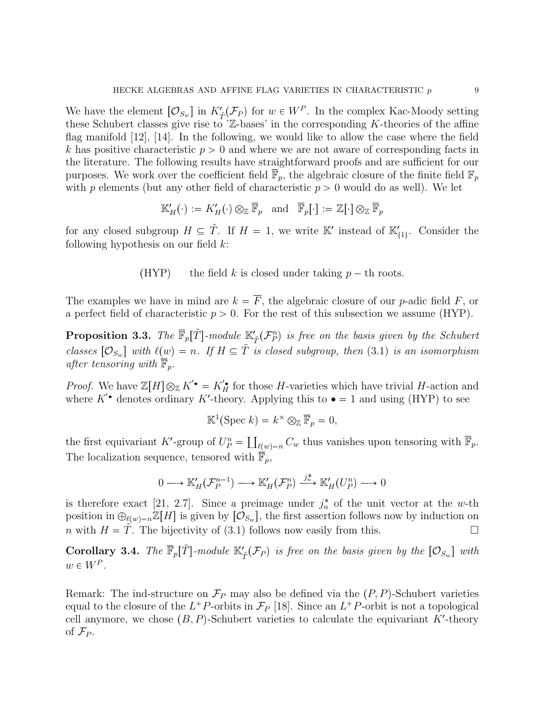We have the element  $[O_{S_w}]$  in  $K'_{\tilde{T}}(\mathcal{F}_P)$  for  $w \in W^P$ . In the complex Kac-Moody setting these Schubert classes give rise to  $Z$ -bases' in the corresponding K-theories of the affine flag manifold [12], [14]. In the following, we would like to allow the case where the field k has positive characteristic  $p > 0$  and where we are not aware of corresponding facts in the literature. The following results have straightforward proofs and are sufficient for our purposes. We work over the coefficient field  $\overline{\mathbb{F}}_p$ , the algebraic closure of the finite field  $\mathbb{F}_p$ with p elements (but any other field of characteristic  $p > 0$  would do as well). We let

$$
\mathbb{K}'_H(\cdot):=K'_H(\cdot)\otimes_{\mathbb{Z}}\overline{\mathbb{F}}_p\quad \text{and}\quad \overline{\mathbb{F}}_p\big[\cdot\big]:=\mathbb{Z}[\cdot]\otimes_{\mathbb{Z}}\overline{\mathbb{F}}_p
$$

for any closed subgroup  $H \subseteq \tilde{T}$ . If  $H = 1$ , we write K' instead of  $\mathbb{K}'_{\{1\}}$ . Consider the following hypothesis on our field  $k$ :

(HYP) the field k is closed under taking  $p - th$  roots.

The examples we have in mind are  $k = \overline{F}$ , the algebraic closure of our p-adic field F, or a perfect field of characteristic  $p > 0$ . For the rest of this subsection we assume (HYP).

**Proposition 3.3.** The  $\overline{\mathbb{F}}_p[\tilde{T}]$ -module  $\mathbb{K}'_{\tilde{T}}(\mathcal{F}_P^n)$  is free on the basis given by the Schubert classes  $[O_{S_w}]$  with  $\ell(w) = n$ . If  $H \subseteq \tilde{T}$  is closed subgroup, then (3.1) is an isomorphism after tensoring with  $\overline{\mathbb{F}}_p$ .

*Proof.* We have  $\mathbb{Z}[H] \otimes_{\mathbb{Z}} K' \bullet = K_H' \bullet$  for those H-varieties which have trivial H-action and where  $K'$  denotes ordinary K'-theory. Applying this to  $\bullet = 1$  and using (HYP) to see

$$
\mathbb{K}^1(\text{Spec } k) = k^\times \otimes_{\mathbb{Z}} \overline{\mathbb{F}}_p = 0,
$$

the first equivariant K'-group of  $U_P^n = \coprod_{\ell(w)=n} C_w$  thus vanishes upon tensoring with  $\overline{\mathbb{F}}_p$ . The localization sequence, tensored with  $\overline{\mathbb{F}}_p$ ,

$$
0 \longrightarrow {\mathbb K}'_H({\mathcal F}^{n-1}_P) \longrightarrow {\mathbb K}'_H({\mathcal F}^n_P) \stackrel{j^*_n}{\longrightarrow} {\mathbb K}'_H(U^n_P) \longrightarrow 0
$$

is therefore exact [21, 2.7]. Since a preimage under  $j_n^*$  of the unit vector at the w-th position in  $\bigoplus_{\ell(w)=n}\mathbb{Z}[H]$  is given by  $[\mathcal{O}_{S_w}]$ , the first assertion follows now by induction on *n* with  $H = T$ . The bijectivity of (3.1) follows now easily from this.

**Corollary 3.4.** The  $\overline{\mathbb{F}}_p[\tilde{T}]$ -module  $\mathbb{K}'_{\tilde{T}}(\mathcal{F}_P)$  is free on the basis given by the  $[\mathcal{O}_{S_w}]$  with  $w \in W^P$ .

Remark: The ind-structure on  $\mathcal{F}_P$  may also be defined via the  $(P, P)$ -Schubert varieties equal to the closure of the  $L^+P$ -orbits in  $\mathcal{F}_P$  [18]. Since an  $L^+P$ -orbit is not a topological cell anymore, we chose  $(B, P)$ -Schubert varieties to calculate the equivariant K'-theory of  $\mathcal{F}_P$ .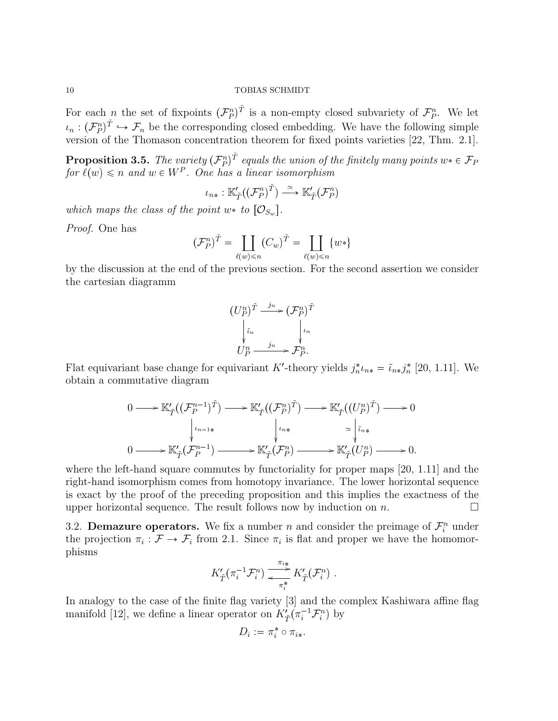For each *n* the set of fixpoints  $(\mathcal{F}_P^n)^{\tilde{T}}$  is a non-empty closed subvariety of  $\mathcal{F}_P^n$ . We let For each *n* the set of fixpoints  $(\mathcal{F}_P^n)^T$  is a non-empty closed subvariety of  $\mathcal{F}_P^n$ . We let  $\iota_n : (\mathcal{F}_P^n)^T \hookrightarrow \mathcal{F}_n$  be the corresponding closed embedding. We have the following simple version of the Thomason concentration theorem for fixed points varieties [22, Thm. 2.1].

**Proposition 3.5.** The variety  $(\mathcal{F}_P^n)^{\tilde{T}}$  equals the union of the finitely many points  $w_* \in \mathcal{F}_P$ for  $\ell(w) \leq n$  and  $w \in W^P$ . One has a linear isomorphism

$$
\iota_{n*} : \mathbb{K}'_{\tilde{T}}((\mathcal{F}_P^n)^{\tilde{T}}) \xrightarrow{\simeq} \mathbb{K}'_{\tilde{T}}(\mathcal{F}_P^n)
$$

which maps the class of the point w\* to  $[\mathcal{O}_{S_w}].$ 

Proof. One has

$$
(\mathcal{F}_P^n)^{\tilde{T}} = \coprod_{\ell(w)\leqslant n} (C_w)^{\tilde{T}} = \coprod_{\ell(w)\leqslant n} \{w*\}
$$

by the discussion at the end of the previous section. For the second assertion we consider the cartesian diagramm

$$
(U_P^n)^{\tilde{T}} \xrightarrow{j_n} (\mathcal{F}_P^n)^{\tilde{T}}
$$

$$
\downarrow_{i_n} \qquad \qquad \downarrow_{i_n}
$$

$$
U_P^n \xrightarrow{j_n} \mathcal{F}_P^n.
$$

Flat equivariant base change for equivariant K'-theory yields  $j_n^* \iota_{n*} = \tilde{\iota}_{n*} j_n^*$  [20, 1.11]. We obtain a commutative diagram

$$
0 \longrightarrow \mathbb{K}'_{\tilde{T}}((\mathcal{F}_{P}^{n-1})^{\tilde{T}}) \longrightarrow \mathbb{K}'_{\tilde{T}}((\mathcal{F}_{P}^{n})^{\tilde{T}}) \longrightarrow \mathbb{K}'_{\tilde{T}}((U_{P}^{n})^{\tilde{T}}) \longrightarrow 0
$$
  
\n
$$
\downarrow \qquad \qquad \downarrow \qquad \qquad \downarrow \qquad \downarrow \qquad \downarrow \qquad \downarrow \qquad \downarrow \qquad \downarrow \qquad \downarrow \qquad \downarrow \qquad \downarrow \qquad \downarrow \qquad \downarrow \qquad \downarrow \qquad \downarrow \qquad \downarrow \qquad \downarrow \qquad \downarrow \qquad \downarrow \qquad \downarrow \qquad \downarrow \qquad \downarrow \qquad \downarrow \qquad \downarrow \qquad \downarrow \qquad \downarrow \qquad \downarrow \qquad \downarrow \qquad \downarrow \qquad \downarrow \qquad \downarrow \qquad \downarrow \qquad \downarrow \qquad \downarrow \qquad \downarrow \qquad \downarrow \qquad \downarrow \qquad \downarrow \qquad \downarrow \qquad \downarrow \qquad \downarrow \qquad \downarrow \qquad \downarrow \qquad \downarrow \qquad \downarrow \qquad \downarrow \qquad \downarrow \qquad \downarrow \qquad \downarrow \qquad \downarrow \qquad \downarrow \qquad \downarrow \qquad \downarrow \qquad \downarrow \qquad \downarrow \qquad \downarrow \qquad \downarrow \qquad \downarrow \qquad \downarrow \qquad \downarrow \qquad \downarrow \qquad \downarrow \qquad \downarrow \qquad \downarrow \qquad \downarrow \qquad \downarrow \qquad \downarrow \qquad \downarrow \qquad \downarrow \qquad \downarrow \qquad \downarrow \qquad \downarrow \qquad \downarrow \qquad \downarrow \qquad \downarrow \qquad \downarrow \qquad \downarrow \qquad \downarrow \qquad \downarrow \qquad \downarrow \qquad \downarrow \qquad \downarrow \qquad \downarrow \qquad \downarrow \qquad \downarrow \qquad \downarrow \qquad \downarrow \qquad \downarrow \qquad \downarrow \qquad \downarrow \qquad \downarrow \qquad \downarrow \qquad \downarrow \qquad \downarrow \qquad \downarrow \qquad \downarrow \qquad \downarrow \qquad \downarrow \qquad \downarrow \qquad \downarrow \qquad \downarrow \qquad \downarrow \qquad \downarrow \qquad \downarrow \qquad \downarrow \qquad \downarrow \qquad \downarrow \
$$

where the left-hand square commutes by functoriality for proper maps [20, 1.11] and the right-hand isomorphism comes from homotopy invariance. The lower horizontal sequence is exact by the proof of the preceding proposition and this implies the exactness of the upper horizontal sequence. The result follows now by induction on  $n$ .

3.2. **Demazure operators.** We fix a number *n* and consider the preimage of  $\mathcal{F}_i^n$  under the projection  $\pi_i : \mathcal{F} \to \mathcal{F}_i$  from 2.1. Since  $\pi_i$  is flat and proper we have the homomorphisms

$$
K'_{\tilde{T}}(\pi_i^{-1}\mathcal{F}_i^n) \xrightarrow{\pi_{i*}} K'_{\tilde{T}}(\mathcal{F}_i^n) .
$$

In analogy to the case of the finite flag variety [3] and the complex Kashiwara affine flag manifold [12], we define a linear operator on  $K^i_{\tilde{T}}(\pi_i^{-1}\mathcal{F}_i^n)$  by

$$
D_i:=\pi_i^*\circ\pi_{i*}.
$$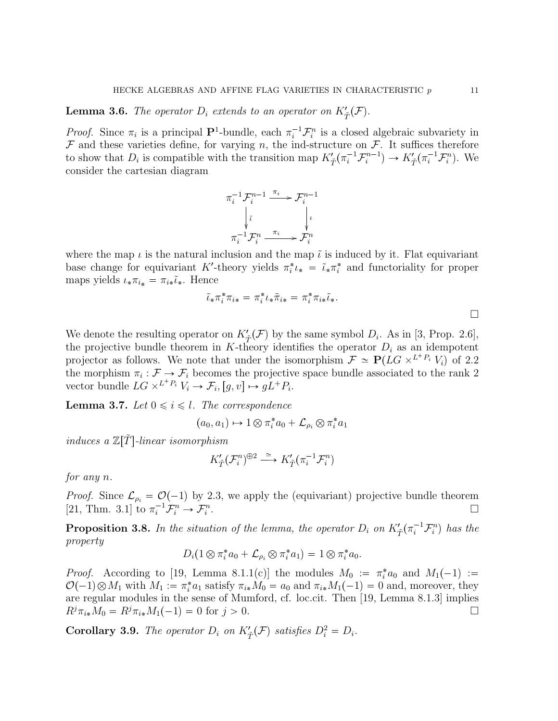**Lemma 3.6.** The operator  $D_i$  extends to an operator on  $K'_{\tilde{T}}(\mathcal{F})$ .

*Proof.* Since  $\pi_i$  is a principal  $\mathbf{P}^1$ -bundle, each  $\pi_i^{-1} \mathcal{F}_i^n$  is a closed algebraic subvariety in  $\mathcal F$  and these varieties define, for varying n, the ind-structure on  $\mathcal F$ . It suffices therefore to show that  $D_i$  is compatible with the transition map  $K'_{\tilde{T}}(\pi_i^{-1}\mathcal{F}_i^{n-1}) \to K'_{\tilde{T}}(\pi_i^{-1}\mathcal{F}_i^n)$ . We consider the cartesian diagram

$$
\pi_i^{-1} \mathcal{F}_i^{n-1} \xrightarrow{\pi_i} \mathcal{F}_i^{n-1}
$$
\n
$$
\downarrow \tilde{\iota} \qquad \qquad \downarrow \iota
$$
\n
$$
\pi_i^{-1} \mathcal{F}_i^n \xrightarrow{\pi_i} \mathcal{F}_i^n
$$

where the map  $\iota$  is the natural inclusion and the map  $\tilde{\iota}$  is induced by it. Flat equivariant base change for equivariant K'-theory yields  $\pi_i^* \iota_* = \tilde{\iota}_* \pi_i^*$  and functoriality for proper maps yields  $\iota_* \pi_{i_*} = \pi_{i_*} \tilde{\iota}_*.$  Hence

$$
\tilde{\iota}_*\pi_i^*\pi_{i*} = \pi_i^*\iota_*\tilde{\pi}_{i*} = \pi_i^*\pi_{i*}\tilde{\iota}_*.
$$

We denote the resulting operator on  $K'_{\tilde{T}}(\mathcal{F})$  by the same symbol  $D_i$ . As in [3, Prop. 2.6], the projective bundle theorem in K-theory identifies the operator  $D_i$  as an idempotent projector as follows. We note that under the isomorphism  $\mathcal{F} \simeq \mathbf{P}(LG \times^{L^+P_i} V_i)$  of 2.2 the morphism  $\pi_i : \mathcal{F} \to \mathcal{F}_i$  becomes the projective space bundle associated to the rank 2 vector bundle  $LG \times^{L^+P_i} V_i \to \mathcal{F}_i$ ,  $[g, v] \mapsto gL^+P_i$ .

**Lemma 3.7.** Let  $0 \leq i \leq l$ . The correspondence

$$
(a_0, a_1) \mapsto 1 \otimes \pi_i^* a_0 + \mathcal{L}_{\rho_i} \otimes \pi_i^* a_1
$$

induces a  $\mathbb{Z}[\tilde{T}]$ -linear isomorphism

$$
K'_{\tilde{T}}(\mathcal{F}^n_i)^{\oplus 2} \xrightarrow{\simeq} K'_{\tilde{T}}(\pi_i^{-1}\mathcal{F}^n_i)
$$

for any n.

*Proof.* Since  $\mathcal{L}_{\rho_i} = \mathcal{O}(-1)$  by 2.3, we apply the (equivariant) projective bundle theorem [21, Thm. 3.1] to  $\pi_i^{-1} \mathcal{F}_i^n \to \mathcal{F}_i^n$ .

**Proposition 3.8.** In the situation of the lemma, the operator  $D_i$  on  $K'_{\tilde{T}}(\pi_i^{-1}\mathcal{F}_i^n)$  has the property

$$
D_i(1\otimes \pi_i^*a_0+\mathcal{L}_{\rho_i}\otimes \pi_i^*a_1)=1\otimes \pi_i^*a_0.
$$

*Proof.* According to [19, Lemma 8.1.1(c)] the modules  $M_0 := \pi_i^* a_0$  and  $M_1(-1) :=$  $\mathcal{O}(-1) \otimes M_1$  with  $M_1 := \pi_i^* a_1$  satisfy  $\pi_{i*} M_0 = a_0$  and  $\pi_{i*} M_1(-1) = 0$  and, moreover, they are regular modules in the sense of Mumford, cf. loc.cit. Then [19, Lemma 8.1.3] implies  $R^j \pi_{i*} M_0 = R^j \pi_{i*} M_1(-1) = 0$  for  $j > 0$ .

**Corollary 3.9.** The operator  $D_i$  on  $K'_{\tilde{T}}(\mathcal{F})$  satisfies  $D_i^2 = D_i$ .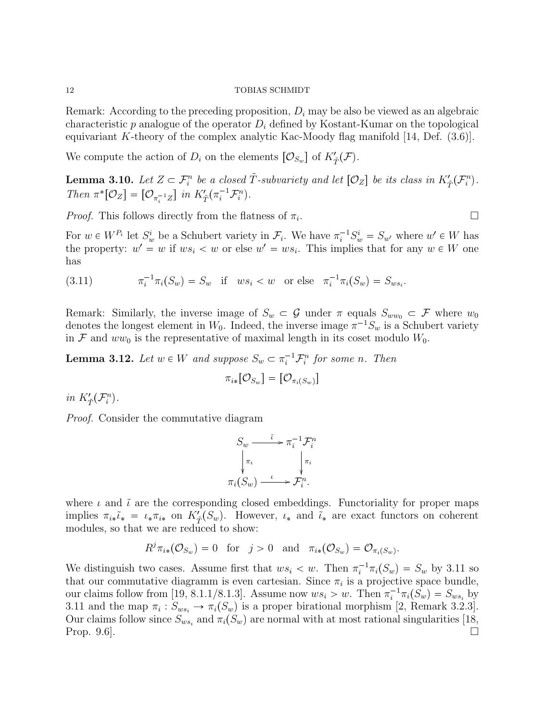Remark: According to the preceding proposition,  $D_i$  may be also be viewed as an algebraic characteristic p analogue of the operator  $D_i$  defined by Kostant-Kumar on the topological equivariant K-theory of the complex analytic Kac-Moody flag manifold  $[14, \text{Def. } (3.6)]$ .

We compute the action of  $D_i$  on the elements  $[\mathcal{O}_{S_w}]$  of  $K'_{\tilde{T}}(\mathcal{F})$ .

**Lemma 3.10.** Let  $Z \subset \mathcal{F}_i^n$  be a closed  $\tilde{T}$ -subvariety and let  $[\mathcal{O}_Z]$  be its class in  $K'_{\tilde{T}}(\mathcal{F}_i^n)$ . Then  $\pi^*[\mathcal{O}_Z] = [\mathcal{O}_{\pi_i^{-1}Z}]$  in  $K'_{\tilde{T}}(\pi_i^{-1}\mathcal{F}_i^n)$ .

*Proof.* This follows directly from the flatness of  $\pi_i$ . .

For  $w \in W^{P_i}$  let  $S_w^i$  be a Schubert variety in  $\mathcal{F}_i$ . We have  $\pi_i^{-1} S_w^i = S_{w'}$  where  $w' \in W$  has the property:  $w' = w$  if  $ws_i < w$  or else  $w' = ws_i$ . This implies that for any  $w \in W$  one has

(3.11) 
$$
\pi_i^{-1} \pi_i(S_w) = S_w \text{ if } ws_i < w \text{ or else } \pi_i^{-1} \pi_i(S_w) = S_{ws_i}.
$$

Remark: Similarly, the inverse image of  $S_w \subset \mathcal{G}$  under  $\pi$  equals  $S_{ww_0} \subset \mathcal{F}$  where  $w_0$ denotes the longest element in  $W_0$ . Indeed, the inverse image  $\pi^{-1}S_w$  is a Schubert variety in F and  $ww_0$  is the representative of maximal length in its coset modulo  $W_0$ .

**Lemma 3.12.** Let  $w \in W$  and suppose  $S_w \subset \pi_i^{-1} \mathcal{F}_i^n$  for some n. Then

$$
\pi_{i*}[\mathcal{O}_{S_w}] = [\mathcal{O}_{\pi_i(S_w)}]
$$

in  $K'_{\tilde{T}}(\mathcal{F}_i^n)$ .

Proof. Consider the commutative diagram

$$
S_w \xrightarrow{\tilde{\iota}} \pi_i^{-1} \mathcal{F}_i^n
$$

$$
\downarrow_{\pi_i} \qquad \qquad \downarrow_{\pi_i}
$$

$$
\pi_i(S_w) \xrightarrow{\iota} \mathcal{F}_i^n.
$$

where  $\iota$  and  $\tilde{\iota}$  are the corresponding closed embeddings. Functoriality for proper maps implies  $\pi_{i*}\tilde{\iota}_* = \iota_*\pi_{i*}$  on  $K_T'(S_w)$ . However,  $\iota_*$  and  $\tilde{\iota}_*$  are exact functors on coherent modules, so that we are reduced to show:

$$
R^j \pi_{i*}(\mathcal{O}_{S_w}) = 0 \quad \text{for} \quad j > 0 \quad \text{and} \quad \pi_{i*}(\mathcal{O}_{S_w}) = \mathcal{O}_{\pi_i(S_w)}.
$$

We distinguish two cases. Assume first that  $ws_i < w$ . Then  $\pi_i^{-1}\pi_i(S_w) = S_w$  by 3.11 so that our commutative diagramm is even cartesian. Since  $\pi_i$  is a projective space bundle, our claims follow from [19, 8.1.1/8.1.3]. Assume now  $ws_i > w$ . Then  $\pi_i^{-1}\pi_i(S_w) = S_{ws_i}$  by 3.11 and the map  $\pi_i: S_{ws_i} \to \pi_i(S_w)$  is a proper birational morphism [2, Remark 3.2.3]. Our claims follow since  $S_{ws_i}$  and  $\pi_i(S_w)$  are normal with at most rational singularities [18, Prop. 9.6].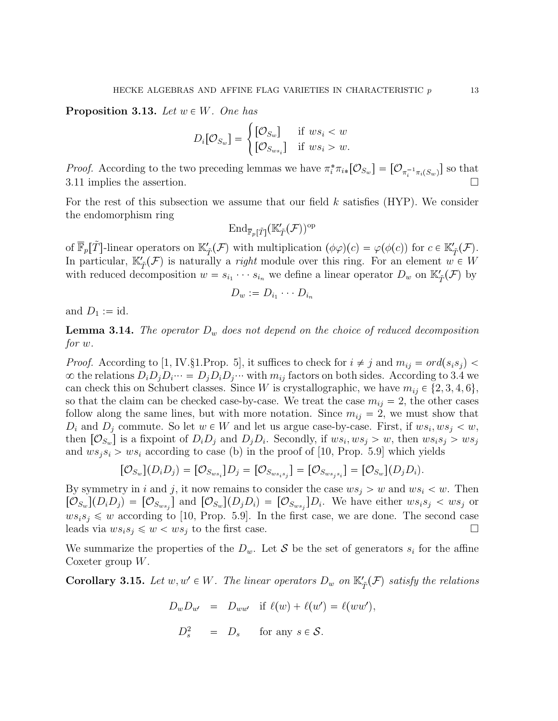**Proposition 3.13.** Let  $w \in W$ . One has

$$
D_i[\mathcal{O}_{S_w}] = \begin{cases} [\mathcal{O}_{S_w}] & \text{if } ws_i < w \\ [\mathcal{O}_{S_{ws_i}}] & \text{if } ws_i > w. \end{cases}
$$

*Proof.* According to the two preceding lemmas we have  $\pi_i^* \pi_{i*} [\mathcal{O}_{S_w}] = [\mathcal{O}_{\pi_i^{-1} \pi_i(S_w)}]$  so that 3.11 implies the assertion.

For the rest of this subsection we assume that our field  $k$  satisfies (HYP). We consider the endomorphism ring

$$
\operatorname{End}_{\overline{\mathbb{F}}_p[\tilde{T}]}(\mathbb{K}'_{\tilde{T}}(\mathcal{F}))^\mathrm{op}
$$

of  $\overline{\mathbb{F}}_p[\tilde{T}]$ -linear operators on  $\mathbb{K}'_{\tilde{T}}(\mathcal{F})$  with multiplication  $(\phi\varphi)(c) = \varphi(\phi(c))$  for  $c \in \mathbb{K}'_{\tilde{T}}(\mathcal{F})$ . In particular,  $\mathbb{K}'_{\tilde{T}}(\mathcal{F})$  is naturally a *right* module over this ring. For an element  $w \in W$ with reduced decomposition  $w = s_{i_1} \cdots s_{i_n}$  we define a linear operator  $D_w$  on  $\mathbb{K}'_{\tilde{T}}(\mathcal{F})$  by

$$
D_w := D_{i_1} \cdots D_{i_n}
$$

and  $D_1 := id$ .

**Lemma 3.14.** The operator  $D_w$  does not depend on the choice of reduced decomposition for w.

*Proof.* According to [1, IV.§1.Prop. 5], it suffices to check for  $i \neq j$  and  $m_{ij} = ord(s_i s_j)$  $\infty$  the relations  $D_i D_j D_i \cdots = D_j D_i D_j \cdots$  with  $m_{ij}$  factors on both sides. According to 3.4 we can check this on Schubert classes. Since W is crystallographic, we have  $m_{ij} \in \{2, 3, 4, 6\},\$ so that the claim can be checked case-by-case. We treat the case  $m_{ij} = 2$ , the other cases follow along the same lines, but with more notation. Since  $m_{ij} = 2$ , we must show that  $D_i$  and  $D_j$  commute. So let  $w \in W$  and let us argue case-by-case. First, if  $ws_i, ws_j < w$ , then  $[O_{S_w}]$  is a fixpoint of  $D_i D_j$  and  $D_j D_i$ . Secondly, if  $ws_i, ws_j > w$ , then  $ws_i s_j > ws_j$ and  $ws_js_i > ws_i$  according to case (b) in the proof of [10, Prop. 5.9] which yields

$$
[\mathcal{O}_{S_w}](D_i D_j) = [\mathcal{O}_{S_{ws_i}}]D_j = [\mathcal{O}_{S_{ws_is_j}}] = [\mathcal{O}_{S_{ws_js_i}}] = [\mathcal{O}_{S_w}](D_j D_i).
$$

By symmetry in i and j, it now remains to consider the case  $ws_j > w$  and  $ws_i < w$ . Then  $[\mathcal{O}_{S_w}](D_i D_j) = [\mathcal{O}_{S_{ws_j}}]$  and  $[\mathcal{O}_{S_w}](D_j D_i) = [\mathcal{O}_{S_{ws_j}}]D_i$ . We have either  $ws_i s_j < ws_j$  or  $ws_is_j \leq w$  according to [10, Prop. 5.9]. In the first case, we are done. The second case leads via  $ws_is_j \leq w < ws_j$  to the first case.

We summarize the properties of the  $D_w$ . Let S be the set of generators  $s_i$  for the affine Coxeter group  $W$ .

**Corollary 3.15.** Let  $w, w' \in W$ . The linear operators  $D_w$  on  $\mathbb{K}'_{\tilde{T}}(\mathcal{F})$  satisfy the relations

$$
D_w D_{w'} = D_{ww'} \text{ if } \ell(w) + \ell(w') = \ell(ww'),
$$

$$
D_s^2 = D_s \quad \text{for any } s \in \mathcal{S}.
$$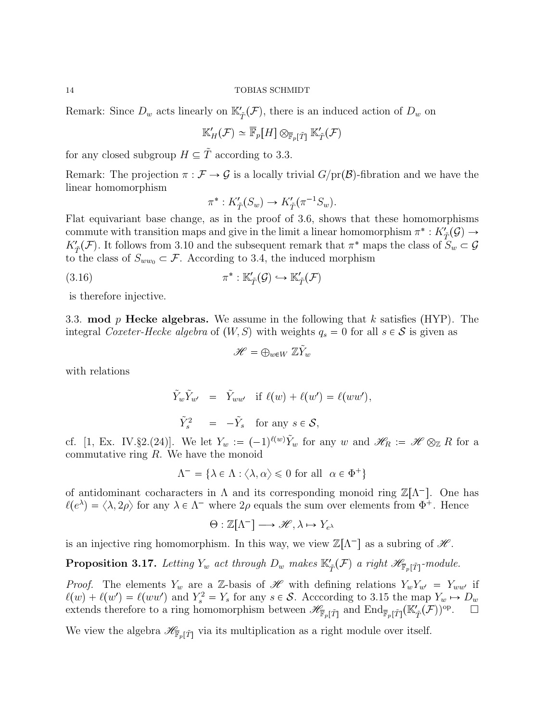Remark: Since  $D_w$  acts linearly on  $\mathbb{K}'_{\tilde{T}}(\mathcal{F})$ , there is an induced action of  $D_w$  on

$$
\mathbb{K}'_H(\mathcal{F}) \simeq \overline{\mathbb{F}}_p[H] \otimes_{\overline{\mathbb{F}}_p[\tilde{T}]} \mathbb{K}'_{\tilde{T}}(\mathcal{F})
$$

for any closed subgroup  $H \subseteq \tilde{T}$  according to 3.3.

Remark: The projection  $\pi : \mathcal{F} \to \mathcal{G}$  is a locally trivial  $G/\text{pr}(\mathcal{B})$ -fibration and we have the linear homomorphism

$$
\pi^*: K'_{\tilde{T}}(S_w) \to K'_{\tilde{T}}(\pi^{-1}S_w).
$$

Flat equivariant base change, as in the proof of 3.6, shows that these homomorphisms commute with transition maps and give in the limit a linear homomorphism  $\pi^* : K'_{\tilde{T}}(\mathcal{G}) \to$  $K_{\tilde{T}}(\mathcal{F})$ . It follows from 3.10 and the subsequent remark that  $\pi^*$  maps the class of  $S_w \subset \mathcal{G}$ to the class of  $S_{ww_0} \subset \mathcal{F}$ . According to 3.4, the induced morphism<br>  $(3.16)$   $\pi^* : \mathbb{K}'_{\tilde{\mathcal{T}}}(\mathcal{G}) \hookrightarrow \mathbb{K}'_{\tilde{\mathcal{T}}}(\mathcal{F})$ 

(3.16) 
$$
\pi^* : \mathbb{K}'_{\tilde{T}}(\mathcal{G}) \hookrightarrow \mathbb{K}'_{\tilde{T}}(\mathcal{F})
$$

is therefore injective.

3.3. mod p Hecke algebras. We assume in the following that k satisfies (HYP). The integral Coxeter-Hecke algebra of  $(W, S)$  with weights  $q_s = 0$  for all  $s \in S$  is given as

$$
\mathscr{H}=\oplus_{w\in W} \ \mathbb{Z}\tilde{Y}_w
$$

with relations

$$
\tilde{Y}_w \tilde{Y}_{w'} = \tilde{Y}_{ww'} \text{ if } \ell(w) + \ell(w') = \ell(ww'),
$$
  

$$
\tilde{Y}_s^2 = -\tilde{Y}_s \text{ for any } s \in \mathcal{S},
$$

cf. [1, Ex. IV.§2.(24)]. We let  $Y_w := (-1)^{\ell(w)} \tilde{Y}_w$  for any w and  $\mathscr{H}_R := \mathscr{H} \otimes_{\mathbb{Z}} R$  for a commutative ring R. We have the monoid

$$
\Lambda^- = \{ \lambda \in \Lambda : \langle \lambda, \alpha \rangle \leq 0 \text{ for all } \alpha \in \Phi^+ \}
$$

of antidominant cocharacters in  $\Lambda$  and its corresponding monoid ring  $\mathbb{Z}[\Lambda^-]$ . One has  $\ell(e^{\lambda}) = \langle \lambda, 2\rho \rangle$  for any  $\lambda \in \Lambda^-$  where  $2\rho$  equals the sum over elements from  $\Phi^+$ . Hence

$$
\Theta: \mathbb{Z}[\Lambda^-] \longrightarrow \mathscr{H}, \lambda \mapsto Y_{e^{\lambda}}
$$

is an injective ring homomorphism. In this way, we view  $\mathbb{Z}[\Lambda^-]$  as a subring of  $\mathcal{H}$ .

**Proposition 3.17.** Letting  $Y_w$  act through  $D_w$  makes  $\mathbb{K}'_{\tilde{T}}(\mathcal{F})$  a right  $\mathscr{H}_{\mathbb{F}_p[\tilde{T}]}$ -module.

*Proof.* The elements  $Y_w$  are a Z-basis of  $\mathcal{H}$  with defining relations  $Y_wY_{w'} = Y_{ww'}$  if  $\ell(w) + \ell(w') = \ell(ww')$  and  $Y_s^2 = Y_s$  for any  $s \in \mathcal{S}$ . Acccording to 3.15 the map  $Y_w \mapsto D_w$ extends therefore to a ring homomorphism between  $\mathscr{H}_{\mathbb{F}_p[\tilde{T}]}$  and  $\text{End}_{\mathbb{F}_p[\tilde{T}]}(\mathbb{K}'_{\tilde{T}}(\mathcal{F}))^{\text{op}}$ .

We view the algebra  $\mathscr{H}_{\bar{\mathbb{F}}_p[\tilde{T}]}$  via its multiplication as a right module over itself.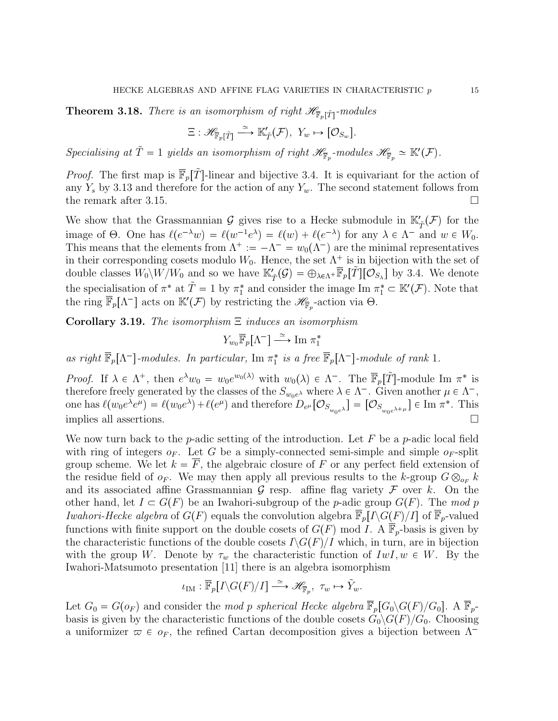**Theorem 3.18.** There is an isomorphism of right  $\mathscr{H}_{\overline{\mathbb{F}}_p[\tilde{T}]}$ -modules

$$
\Xi: \mathscr{H}_{\overline{\mathbb{F}}_p[\tilde{T}]} \xrightarrow{\simeq} \mathbb{K}'_{\tilde{T}}(\mathcal{F}), \ Y_w \mapsto [\mathcal{O}_{S_w}].
$$

Specialising at  $\tilde{T} = 1$  yields an isomorphism of right  $\mathscr{H}_{\overline{\mathbb{F}}_p}$ -modules  $\mathscr{H}_{\overline{\mathbb{F}}_p} \simeq \mathbb{K}'(\mathcal{F})$ .

*Proof.* The first map is  $\overline{\mathbb{F}}_p[\tilde{T}]$ -linear and bijective 3.4. It is equivariant for the action of any  $Y_s$  by 3.13 and therefore for the action of any  $Y_w$ . The second statement follows from the remark after 3.15.

We show that the Grassmannian  $\mathcal G$  gives rise to a Hecke submodule in  $\mathbb K'_{\tilde{T}}(\mathcal F)$  for the image of  $\Theta$ . One has  $\ell(e^{-\lambda}w) = \ell(w^{-1}e^{\lambda}) = \ell(w) + \ell(e^{-\lambda})$  for any  $\lambda \in \Lambda^-$  and  $w \in W_0$ . This means that the elements from  $\Lambda^+ := -\Lambda^- = w_0(\Lambda^-)$  are the minimal representatives in their corresponding cosets modulo  $W_0$ . Hence, the set  $\Lambda^+$  is in bijection with the set of double classes  $W_0 \setminus W/W_0$  and so we have  $\mathbb{K}'_{\tilde{T}}(\mathcal{G}) = \bigoplus_{\lambda \in \Lambda^+} \overline{\mathbb{F}}_p[\tilde{T}][\mathcal{O}_{S_{\lambda}}]$  by 3.4. We denote the specialisation of  $\pi^*$  at  $\tilde{T} = 1$  by  $\pi_1^*$  and consider the image Im  $\pi_1^* \subset \mathbb{K}'(\mathcal{F})$ . Note that the ring  $\overline{\mathbb{F}}_p[\Lambda^-]$  acts on  $\mathbb{K}'(\mathcal{F})$  by restricting the  $\mathscr{H}_{\overline{\mathbb{F}}_p}$ -action via  $\Theta$ .

Corollary 3.19. The isomorphism  $\Xi$  induces an isomorphism

$$
Y_{w_0}\overline{\mathbb{F}}_p[\Lambda^-] \xrightarrow{\simeq} \text{Im } \pi_1^*
$$

as right  $\overline{\mathbb{F}}_p[\Lambda^-]$ -modules. In particular, Im  $\pi_1^*$  is a free  $\overline{\mathbb{F}}_p[\Lambda^-]$ -module of rank 1.

Proof. If  $\lambda \in \Lambda^+$ , then  $e^{\lambda}w_0 = w_0e^{w_0(\lambda)}$  with  $w_0(\lambda) \in \Lambda^-$ . The  $\overline{\mathbb{F}}_p[\tilde{T}]$ -module Im  $\pi^*$  is therefore freely generated by the classes of the  $S_{w_0e^{\lambda}}$  where  $\lambda \in \Lambda^-$ . Given another  $\mu \in \Lambda^-$ , one has  $\ell(w_0 e^{\lambda} e^{\mu}) = \ell(w_0 e^{\lambda}) + \ell(e^{\mu})$  and therefore  $D_{e^{\mu}}[\mathcal{O}_{S_{w_0 e^{\lambda}}}] = [\mathcal{O}_{S_{w_0 e^{\lambda+\mu}}}] \in \text{Im } \pi^*$ . This implies all assertions.

We now turn back to the *p*-adic setting of the introduction. Let F be a *p*-adic local field with ring of integers  $o_F$ . Let G be a simply-connected semi-simple and simple  $o_F$ -split group scheme. We let  $k = F$ , the algebraic closure of F or any perfect field extension of the residue field of  $o_F$ . We may then apply all previous results to the k-group  $G \otimes_{o_F} k$ and its associated affine Grassmannian  $\mathcal G$  resp. affine flag variety  $\mathcal F$  over k. On the other hand, let  $I \subset G(F)$  be an Iwahori-subgroup of the p-adic group  $G(F)$ . The mod p Iwahori-Hecke algebra of  $G(F)$  equals the convolution algebra  $\overline{\mathbb{F}}_p[I\backslash G(F)/I]$  of  $\overline{\mathbb{F}}_p$ -valued functions with finite support on the double cosets of  $G(F)$  mod I. A  $\mathbb{F}_p$ -basis is given by the characteristic functions of the double cosets  $I\backslash G(F)/I$  which, in turn, are in bijection with the group W. Denote by  $\tau_w$  the characteristic function of  $IwI, w \in W$ . By the Iwahori-Matsumoto presentation [11] there is an algebra isomorphism

$$
\iota_{\text{IM}} : \overline{\mathbb{F}}_p[I \backslash G(F)/I] \xrightarrow{\simeq} \mathscr{H}_{\overline{\mathbb{F}}_p}, \ \tau_w \mapsto \tilde{Y}_w.
$$

Let  $G_0 = G(o_F)$  and consider the mod p spherical Hecke algebra  $\overline{\mathbb{F}}_p[G_0\backslash G(F)/G_0]$ . A  $\overline{\mathbb{F}}_p$ basis is given by the characteristic functions of the double cosets  $G_0\backslash G(F)/G_0$ . Choosing a uniformizer  $\varpi \in o_F$ , the refined Cartan decomposition gives a bijection between  $\Lambda^-$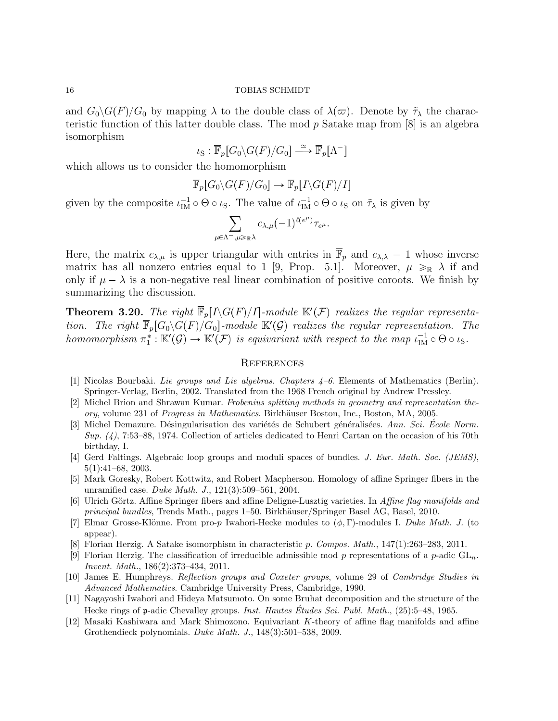and  $G_0\backslash G(F)/G_0$  by mapping  $\lambda$  to the double class of  $\lambda(\varpi)$ . Denote by  $\tilde{\tau}_{\lambda}$  the characteristic function of this latter double class. The mod  $p$  Satake map from  $[8]$  is an algebra isomorphism

$$
\iota_{\mathcal{S}} : \overline{\mathbb{F}}_p[G_0 \backslash G(F)/G_0] \xrightarrow{\simeq} \overline{\mathbb{F}}_p[\Lambda^-]
$$

which allows us to consider the homomorphism

$$
\overline{\mathbb{F}}_p[G_0\backslash G(F)/G_0] \to \overline{\mathbb{F}}_p[I\backslash G(F)/I]
$$

given by the composite  $\iota_{\text{IM}}^{-1} \circ \Theta \circ \iota_{\text{S}}$ . The value of  $\iota_{\text{IM}}^{-1} \circ \Theta \circ \iota_{\text{S}}$  on  $\tilde{\tau}_{\lambda}$  is given by

$$
\sum_{\mu \in \Lambda^-,\mu \geqslant_{\mathbb{R}} \lambda} c_{\lambda,\mu} (-1)^{\ell(e^{\mu})} \tau_{e^{\mu}}.
$$

Here, the matrix  $c_{\lambda,\mu}$  is upper triangular with entries in  $\overline{\mathbb{F}}_p$  and  $c_{\lambda,\lambda} = 1$  whose inverse matrix has all nonzero entries equal to 1 [9, Prop. 5.1]. Moreover,  $\mu \geq R$   $\lambda$  if and only if  $\mu - \lambda$  is a non-negative real linear combination of positive coroots. We finish by summarizing the discussion.

**Theorem 3.20.** The right  $\overline{\mathbb{F}}_p[I\backslash G(F)/I]$ -module  $\mathbb{K}'(\mathcal{F})$  realizes the regular representation. The right  $\overline{\mathbb{F}}_p[G_0\backslash G(F)/G_0]$ -module  $\mathbb{K}'(\mathcal{G})$  realizes the regular representation. The homomorphism  $\pi_1^* : \mathbb{K}'(\mathcal{G}) \to \mathbb{K}'(\mathcal{F})$  is equivariant with respect to the map  $\iota_{\text{IM}}^{-1} \circ \Theta \circ \iota_S$ .

# **REFERENCES**

- [1] Nicolas Bourbaki. Lie groups and Lie algebras. Chapters 4–6. Elements of Mathematics (Berlin). Springer-Verlag, Berlin, 2002. Translated from the 1968 French original by Andrew Pressley.
- [2] Michel Brion and Shrawan Kumar. Frobenius splitting methods in geometry and representation theory, volume 231 of *Progress in Mathematics*. Birkhäuser Boston, Inc., Boston, MA, 2005.
- [3] Michel Demazure. Désingularisation des variétés de Schubert généralisées. Ann. Sci. École Norm.  $Sup. (4)$ , 7:53–88, 1974. Collection of articles dedicated to Henri Cartan on the occasion of his 70th birthday, I.
- [4] Gerd Faltings. Algebraic loop groups and moduli spaces of bundles. J. Eur. Math. Soc. (JEMS), 5(1):41–68, 2003.
- [5] Mark Goresky, Robert Kottwitz, and Robert Macpherson. Homology of affine Springer fibers in the unramified case. Duke Math. J., 121(3):509–561, 2004.
- [6] Ulrich Görtz. Affine Springer fibers and affine Deligne-Lusztig varieties. In Affine flag manifolds and principal bundles, Trends Math., pages 1–50. Birkhäuser/Springer Basel AG, Basel, 2010.
- [7] Elmar Grosse-Klönne. From pro-p Iwahori-Hecke modules to  $(\phi, \Gamma)$ -modules I. Duke Math. J. (to appear).
- [8] Florian Herzig. A Satake isomorphism in characteristic p. Compos. Math., 147(1):263–283, 2011.
- [9] Florian Herzig. The classification of irreducible admissible mod p representations of a p-adic  $GL_n$ . Invent. Math., 186(2):373–434, 2011.
- [10] James E. Humphreys. Reflection groups and Coxeter groups, volume 29 of Cambridge Studies in Advanced Mathematics. Cambridge University Press, Cambridge, 1990.
- [11] Nagayoshi Iwahori and Hideya Matsumoto. On some Bruhat decomposition and the structure of the Hecke rings of p-adic Chevalley groups. *Inst. Hautes Études Sci. Publ. Math.*, (25):5–48, 1965.
- [12] Masaki Kashiwara and Mark Shimozono. Equivariant K-theory of affine flag manifolds and affine Grothendieck polynomials. Duke Math. J., 148(3):501–538, 2009.